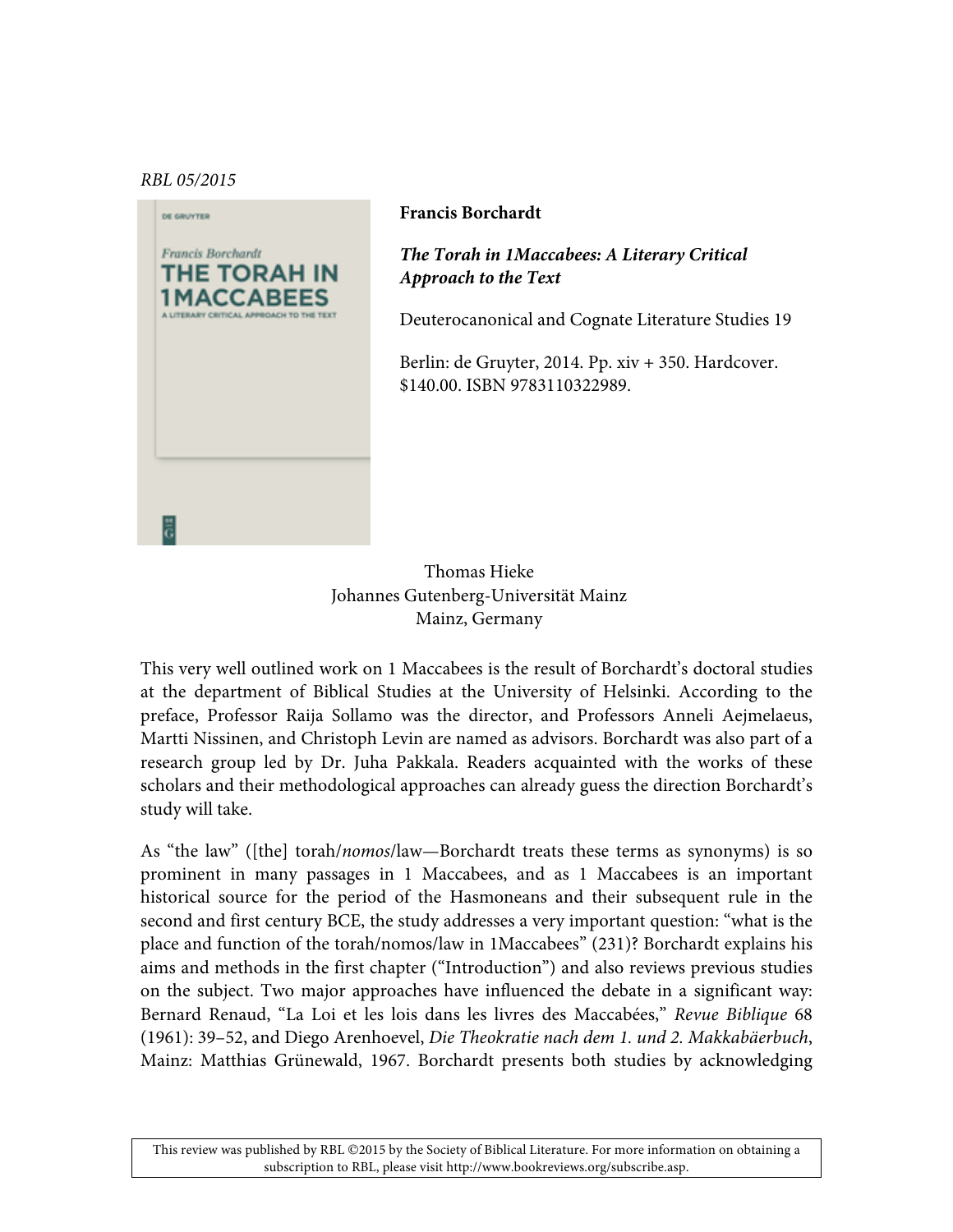## *RBL 05/2015*



## **Francis Borchardt**

*The Torah in 1Maccabees: A Literary Critical Approach to the Text*

Deuterocanonical and Cognate Literature Studies 19

Berlin: de Gruyter, 2014. Pp. xiv + 350. Hardcover. \$140.00. ISBN 9783110322989.

Thomas Hieke Johannes Gutenberg-Universität Mainz Mainz, Germany

This very well outlined work on 1 Maccabees is the result of Borchardt's doctoral studies at the department of Biblical Studies at the University of Helsinki. According to the preface, Professor Raija Sollamo was the director, and Professors Anneli Aejmelaeus, Martti Nissinen, and Christoph Levin are named as advisors. Borchardt was also part of a research group led by Dr. Juha Pakkala. Readers acquainted with the works of these scholars and their methodological approaches can already guess the direction Borchardt's study will take.

As "the law" ([the] torah/*nomos*/law—Borchardt treats these terms as synonyms) is so prominent in many passages in 1 Maccabees, and as 1 Maccabees is an important historical source for the period of the Hasmoneans and their subsequent rule in the second and first century BCE, the study addresses a very important question: "what is the place and function of the torah/nomos/law in 1Maccabees" (231)? Borchardt explains his aims and methods in the first chapter ("Introduction") and also reviews previous studies on the subject. Two major approaches have influenced the debate in a significant way: Bernard Renaud, "La Loi et les lois dans les livres des Maccabées," *Revue Biblique* 68 (1961): 39–52, and Diego Arenhoevel, *Die Theokratie nach dem 1. und 2. Makkabäerbuch*, Mainz: Matthias Grünewald, 1967. Borchardt presents both studies by acknowledging

This review was published by RBL ©2015 by the Society of Biblical Literature. For more information on obtaining a subscription to RBL, please visit http://www.bookreviews.org/subscribe.asp.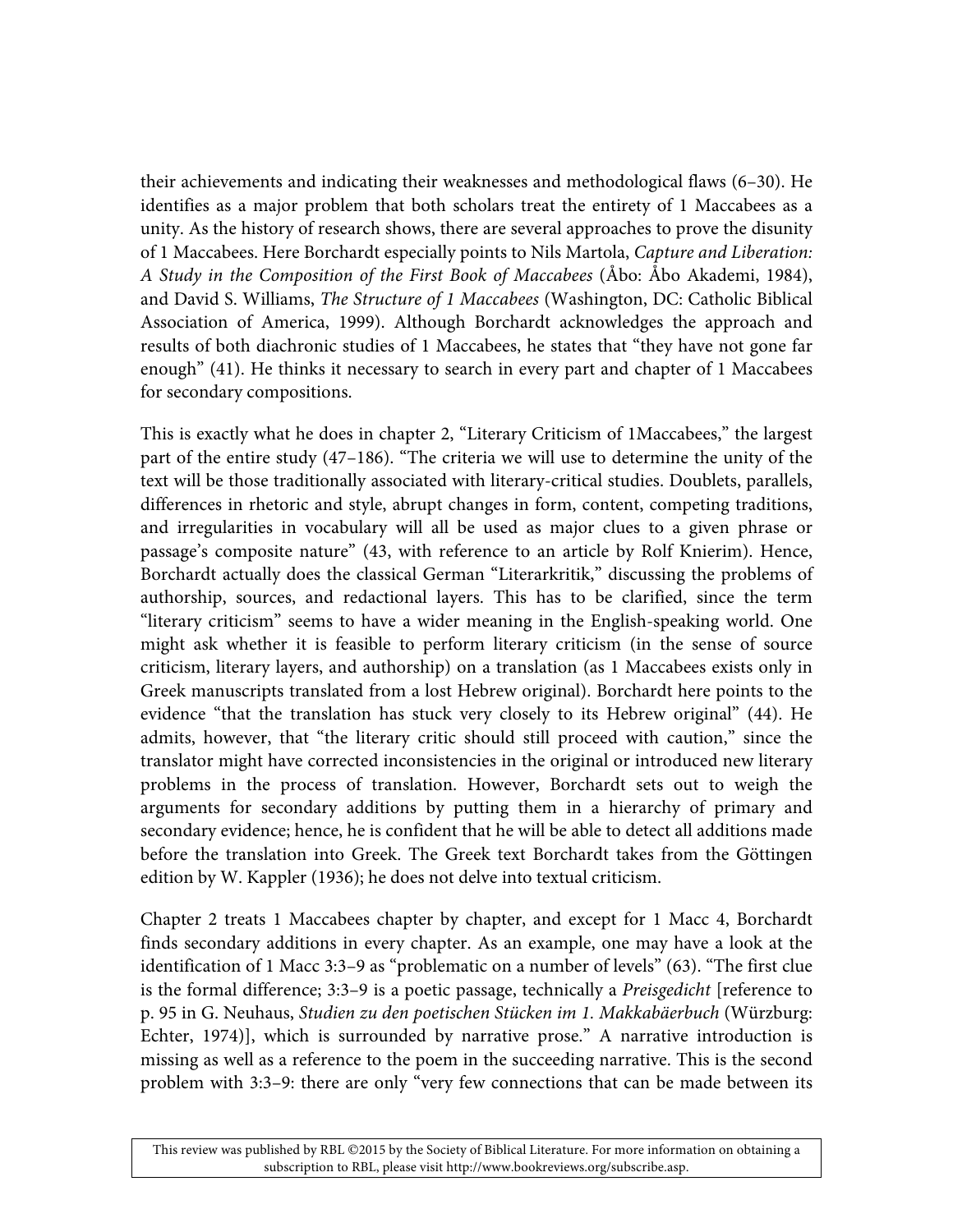their achievements and indicating their weaknesses and methodological flaws (6–30). He identifies as a major problem that both scholars treat the entirety of 1 Maccabees as a unity. As the history of research shows, there are several approaches to prove the disunity of 1 Maccabees. Here Borchardt especially points to Nils Martola, *Capture and Liberation: A Study in the Composition of the First Book of Maccabees* (Åbo: Åbo Akademi, 1984), and David S. Williams, *The Structure of 1 Maccabees* (Washington, DC: Catholic Biblical Association of America, 1999). Although Borchardt acknowledges the approach and results of both diachronic studies of 1 Maccabees, he states that "they have not gone far enough" (41). He thinks it necessary to search in every part and chapter of 1 Maccabees for secondary compositions.

This is exactly what he does in chapter 2, "Literary Criticism of 1Maccabees," the largest part of the entire study (47–186). "The criteria we will use to determine the unity of the text will be those traditionally associated with literary-critical studies. Doublets, parallels, differences in rhetoric and style, abrupt changes in form, content, competing traditions, and irregularities in vocabulary will all be used as major clues to a given phrase or passage's composite nature" (43, with reference to an article by Rolf Knierim). Hence, Borchardt actually does the classical German "Literarkritik," discussing the problems of authorship, sources, and redactional layers. This has to be clarified, since the term "literary criticism" seems to have a wider meaning in the English-speaking world. One might ask whether it is feasible to perform literary criticism (in the sense of source criticism, literary layers, and authorship) on a translation (as 1 Maccabees exists only in Greek manuscripts translated from a lost Hebrew original). Borchardt here points to the evidence "that the translation has stuck very closely to its Hebrew original" (44). He admits, however, that "the literary critic should still proceed with caution," since the translator might have corrected inconsistencies in the original or introduced new literary problems in the process of translation. However, Borchardt sets out to weigh the arguments for secondary additions by putting them in a hierarchy of primary and secondary evidence; hence, he is confident that he will be able to detect all additions made before the translation into Greek. The Greek text Borchardt takes from the Göttingen edition by W. Kappler (1936); he does not delve into textual criticism.

Chapter 2 treats 1 Maccabees chapter by chapter, and except for 1 Macc 4, Borchardt finds secondary additions in every chapter. As an example, one may have a look at the identification of 1 Macc 3:3–9 as "problematic on a number of levels" (63). "The first clue is the formal difference; 3:3–9 is a poetic passage, technically a *Preisgedicht* [reference to p. 95 in G. Neuhaus, *Studien zu den poetischen Stücken im 1. Makkabäerbuch* (Würzburg: Echter, 1974)], which is surrounded by narrative prose." A narrative introduction is missing as well as a reference to the poem in the succeeding narrative. This is the second problem with 3:3–9: there are only "very few connections that can be made between its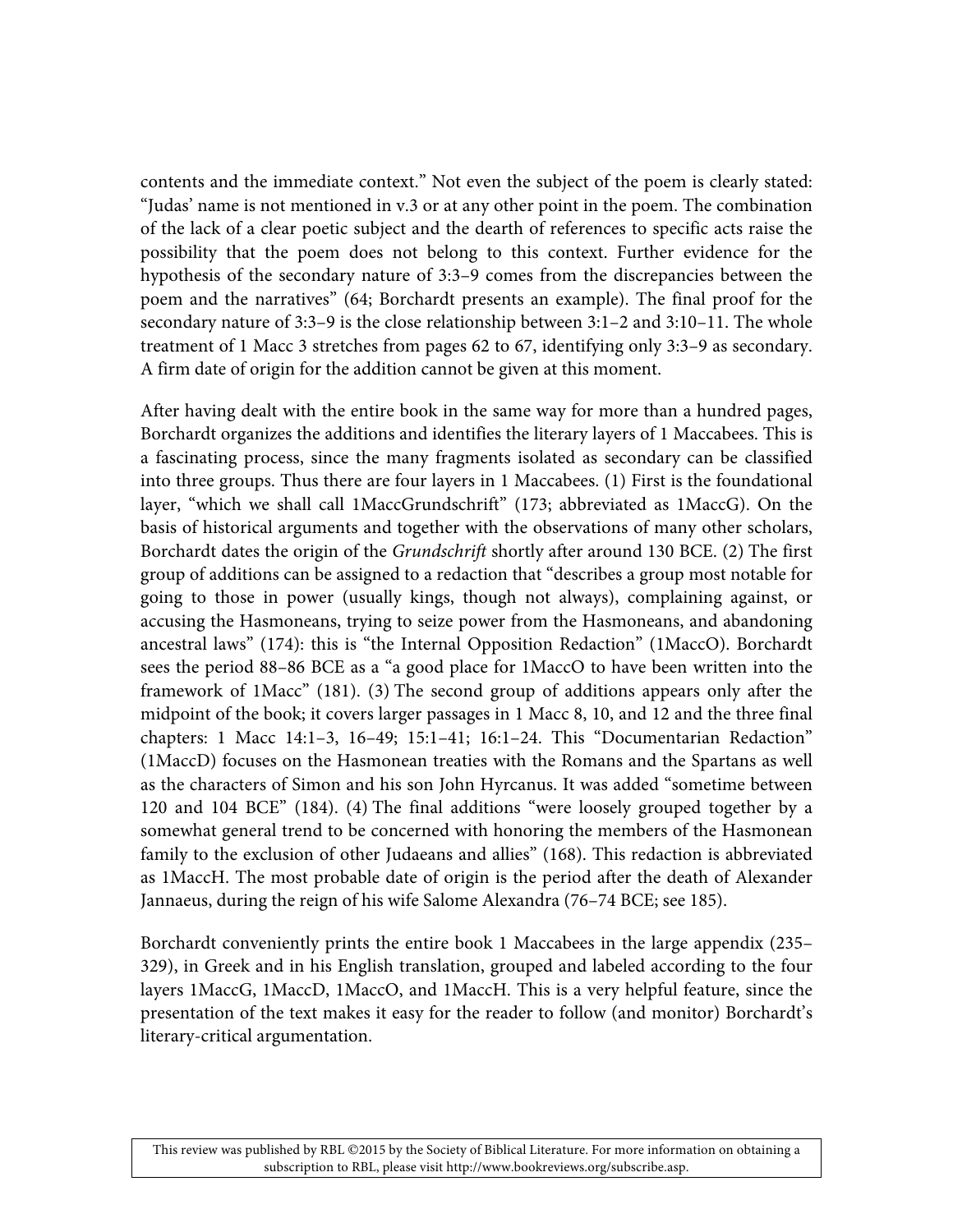contents and the immediate context." Not even the subject of the poem is clearly stated: "Judas' name is not mentioned in v.3 or at any other point in the poem. The combination of the lack of a clear poetic subject and the dearth of references to specific acts raise the possibility that the poem does not belong to this context. Further evidence for the hypothesis of the secondary nature of 3:3–9 comes from the discrepancies between the poem and the narratives" (64; Borchardt presents an example). The final proof for the secondary nature of 3:3–9 is the close relationship between 3:1–2 and 3:10–11. The whole treatment of 1 Macc 3 stretches from pages 62 to 67, identifying only 3:3–9 as secondary. A firm date of origin for the addition cannot be given at this moment.

After having dealt with the entire book in the same way for more than a hundred pages, Borchardt organizes the additions and identifies the literary layers of 1 Maccabees. This is a fascinating process, since the many fragments isolated as secondary can be classified into three groups. Thus there are four layers in 1 Maccabees. (1) First is the foundational layer, "which we shall call 1MaccGrundschrift" (173; abbreviated as 1MaccG). On the basis of historical arguments and together with the observations of many other scholars, Borchardt dates the origin of the *Grundschrift* shortly after around 130 BCE. (2) The first group of additions can be assigned to a redaction that "describes a group most notable for going to those in power (usually kings, though not always), complaining against, or accusing the Hasmoneans, trying to seize power from the Hasmoneans, and abandoning ancestral laws" (174): this is "the Internal Opposition Redaction" (1MaccO). Borchardt sees the period 88–86 BCE as a "a good place for 1MaccO to have been written into the framework of 1Macc" (181). (3) The second group of additions appears only after the midpoint of the book; it covers larger passages in 1 Macc 8, 10, and 12 and the three final chapters: 1 Macc 14:1–3, 16–49; 15:1–41; 16:1–24. This "Documentarian Redaction" (1MaccD) focuses on the Hasmonean treaties with the Romans and the Spartans as well as the characters of Simon and his son John Hyrcanus. It was added "sometime between 120 and 104 BCE" (184). (4) The final additions "were loosely grouped together by a somewhat general trend to be concerned with honoring the members of the Hasmonean family to the exclusion of other Judaeans and allies" (168). This redaction is abbreviated as 1MaccH. The most probable date of origin is the period after the death of Alexander Jannaeus, during the reign of his wife Salome Alexandra (76–74 BCE; see 185).

Borchardt conveniently prints the entire book 1 Maccabees in the large appendix (235– 329), in Greek and in his English translation, grouped and labeled according to the four layers 1MaccG, 1MaccD, 1MaccO, and 1MaccH. This is a very helpful feature, since the presentation of the text makes it easy for the reader to follow (and monitor) Borchardt's literary-critical argumentation.

This review was published by RBL ©2015 by the Society of Biblical Literature. For more information on obtaining a subscription to RBL, please visit http://www.bookreviews.org/subscribe.asp.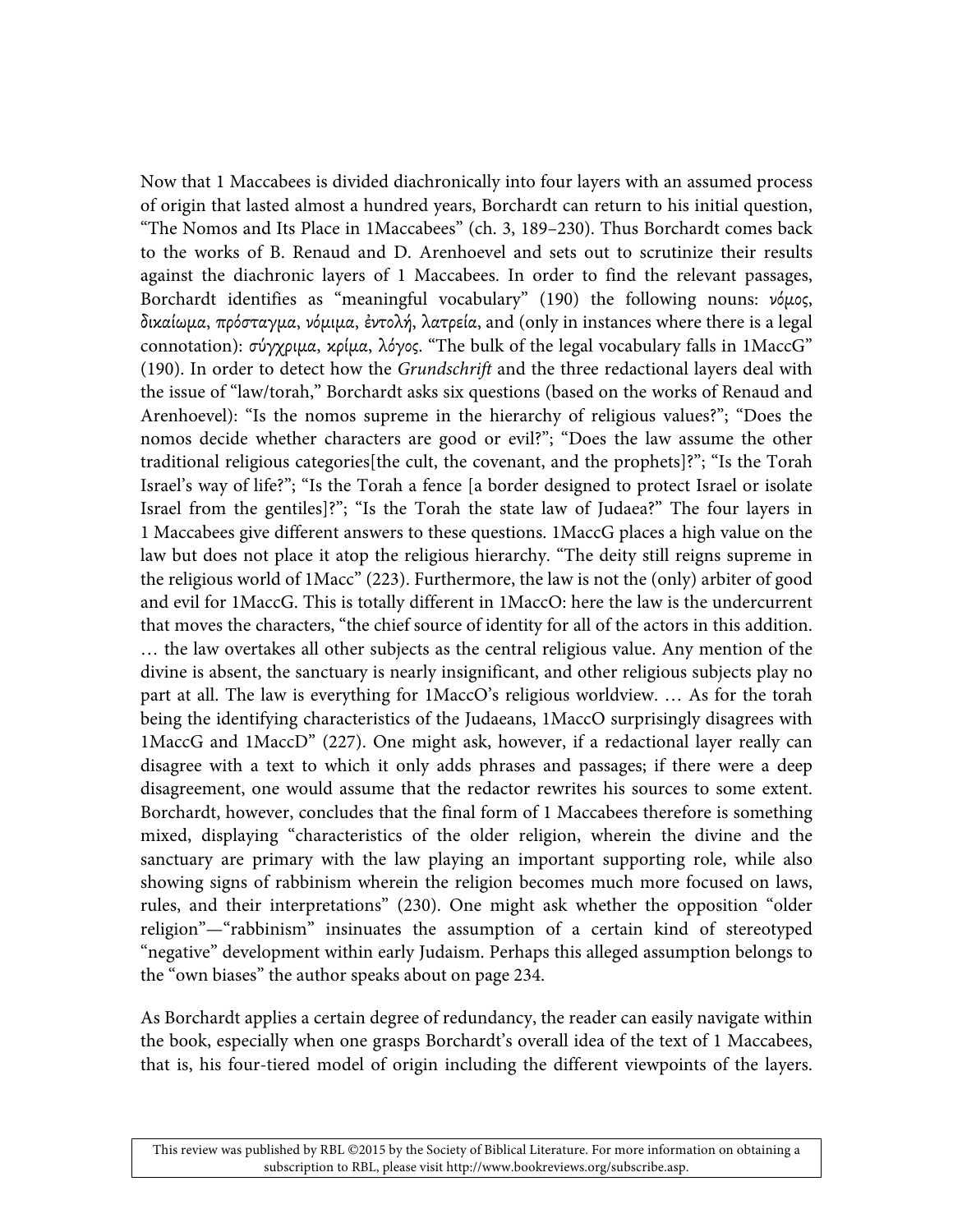Now that 1 Maccabees is divided diachronically into four layers with an assumed process of origin that lasted almost a hundred years, Borchardt can return to his initial question, "The Nomos and Its Place in 1Maccabees" (ch. 3, 189–230). Thus Borchardt comes back to the works of B. Renaud and D. Arenhoevel and sets out to scrutinize their results against the diachronic layers of 1 Maccabees. In order to find the relevant passages, Borchardt identifies as "meaningful vocabulary" (190) the following nouns: νόμος, δικαίωµα, πρόσταγµα, νόµιµα, ἐντολή, λατρεία, and (only in instances where there is a legal connotation): σύγχριμα, κρίμα, λόγος. "The bulk of the legal vocabulary falls in 1MaccG" (190). In order to detect how the *Grundschrift* and the three redactional layers deal with the issue of "law/torah," Borchardt asks six questions (based on the works of Renaud and Arenhoevel): "Is the nomos supreme in the hierarchy of religious values?"; "Does the nomos decide whether characters are good or evil?"; "Does the law assume the other traditional religious categories[the cult, the covenant, and the prophets]?"; "Is the Torah Israel's way of life?"; "Is the Torah a fence [a border designed to protect Israel or isolate Israel from the gentiles]?"; "Is the Torah the state law of Judaea?" The four layers in 1 Maccabees give different answers to these questions. 1MaccG places a high value on the law but does not place it atop the religious hierarchy. "The deity still reigns supreme in the religious world of 1Macc" (223). Furthermore, the law is not the (only) arbiter of good and evil for 1MaccG. This is totally different in 1MaccO: here the law is the undercurrent that moves the characters, "the chief source of identity for all of the actors in this addition. … the law overtakes all other subjects as the central religious value. Any mention of the divine is absent, the sanctuary is nearly insignificant, and other religious subjects play no part at all. The law is everything for 1MaccO's religious worldview. … As for the torah being the identifying characteristics of the Judaeans, 1MaccO surprisingly disagrees with 1MaccG and 1MaccD" (227). One might ask, however, if a redactional layer really can disagree with a text to which it only adds phrases and passages; if there were a deep disagreement, one would assume that the redactor rewrites his sources to some extent. Borchardt, however, concludes that the final form of 1 Maccabees therefore is something mixed, displaying "characteristics of the older religion, wherein the divine and the sanctuary are primary with the law playing an important supporting role, while also showing signs of rabbinism wherein the religion becomes much more focused on laws, rules, and their interpretations" (230). One might ask whether the opposition "older religion"—"rabbinism" insinuates the assumption of a certain kind of stereotyped "negative" development within early Judaism. Perhaps this alleged assumption belongs to the "own biases" the author speaks about on page 234.

As Borchardt applies a certain degree of redundancy, the reader can easily navigate within the book, especially when one grasps Borchardt's overall idea of the text of 1 Maccabees, that is, his four-tiered model of origin including the different viewpoints of the layers.

This review was published by RBL ©2015 by the Society of Biblical Literature. For more information on obtaining a subscription to RBL, please visit http://www.bookreviews.org/subscribe.asp.